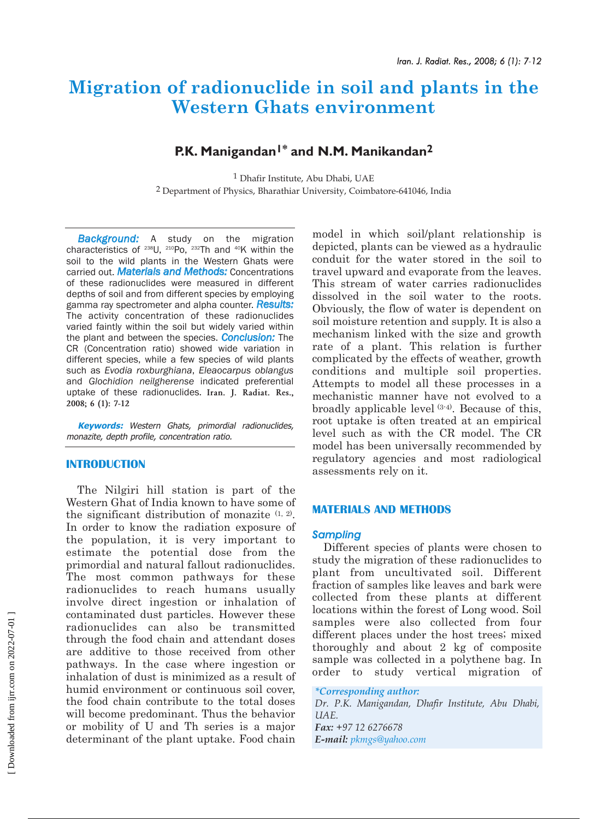# **Migration of radionuclide in soil and plants in the Western Ghats environment**

# **P.K. Manigandan1\* and N.M. Manikandan2**

1 Dhafir Institute, Abu Dhabi, UAE 2 Department of Physics, Bharathiar University, Coimbatore-641046, India

*Background:* A study on the migration characteristics of  $238$ U,  $210PQ$ ,  $232Th$  and  $40K$  within the soil to the wild plants in the Western Ghats were carried out. *Materials and Methods:* Concentrations of these radionuclides were measured in different depths of soil and from different species by employing gamma ray spectrometer and alpha counter. *Results:* The activity concentration of these radionuclides varied faintly within the soil but widely varied within the plant and between the species. *Conclusion:* The CR (Concentration ratio) showed wide variation in different species, while a few species of wild plants such as *Evodia roxburghiana*, *Eleaocarpus oblangus* and *Glochidion neilgherense* indicated preferential uptake of these radionuclides. **Iran. J. Radiat. Res., 2008; 6 (1): 7-12**

**Keywords:** Western Ghats, primordial radionuclides, monazite, depth profile, concentration ratio.

# **INTRODUCTION**

The Nilgiri hill station is part of the Western Ghat of India known to have some of the significant distribution of monazite (1, 2). In order to know the radiation exposure of the population, it is very important to estimate the potential dose from the primordial and natural fallout radionuclides. The most common pathways for these radionuclides to reach humans usually involve direct ingestion or inhalation of contaminated dust particles. However these radionuclides can also be transmitted through the food chain and attendant doses are additive to those received from other pathways. In the case where ingestion or inhalation of dust is minimized as a result of humid environment or continuous soil cover, the food chain contribute to the total doses will become predominant. Thus the behavior or mobility of U and Th series is a major determinant of the plant uptake. Food chain

model in which soil/plant relationship is depicted, plants can be viewed as a hydraulic conduit for the water stored in the soil to travel upward and evaporate from the leaves. This stream of water carries radionuclides dissolved in the soil water to the roots. Obviously, the flow of water is dependent on soil moisture retention and supply. It is also a mechanism linked with the size and growth rate of a plant. This relation is further complicated by the effects of weather, growth conditions and multiple soil properties. Attempts to model all these processes in a mechanistic manner have not evolved to a broadly applicable level (3-4). Because of this, root uptake is often treated at an empirical level such as with the CR model. The CR model has been universally recommended by regulatory agencies and most radiological assessments rely on it.

# **MATERIALS AND METHODS**

# *Sampling*

Different species of plants were chosen to study the migration of these radionuclides to plant from uncultivated soil. Different fraction of samples like leaves and bark were collected from these plants at different locations within the forest of Long wood. Soil samples were also collected from four different places under the host trees; mixed thoroughly and about 2 kg of composite sample was collected in a polythene bag. In order to study vertical migration of

*\*Corresponding author: Dr. P.K. Manigandan, Dhafir Institute, Abu Dhabi, UAE. Fax: +97 12 6276678 E-mail: pkmgs@yahoo.com*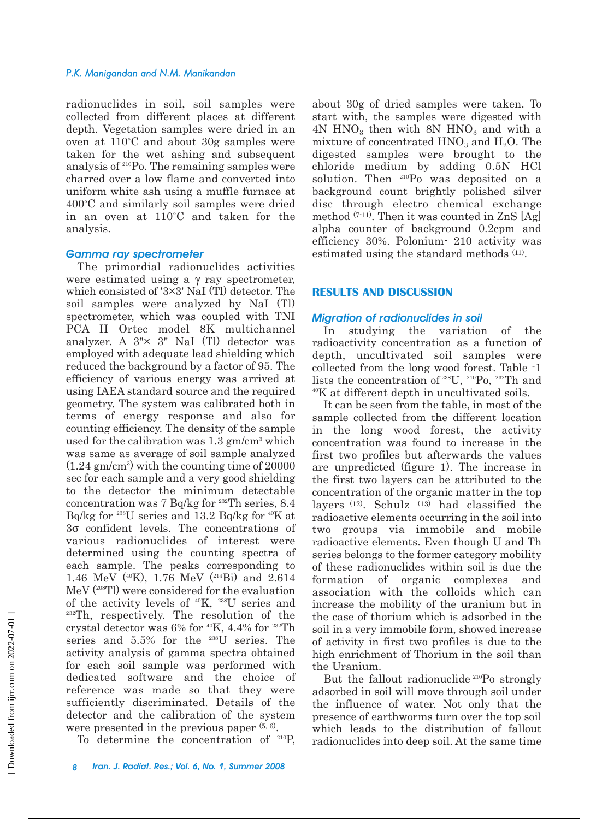#### *P.K. Manigandan and N.M. Manikandan*

radionuclides in soil, soil samples were collected from different places at different depth. Vegetation samples were dried in an oven at  $110^{\circ}\mathrm{C}$  and about  $30\mathrm{g}$  samples were taken for the wet ashing and subsequent analysis of 210Po. The remaining samples were charred over a low flame and converted into uniform white ash using a muffle furnace at 400°C and similarly soil samples were dried in an oven at  $110^{\circ}$ C and taken for the analysis.

## *Gamma ray spectrometer*

The primordial radionuclides activities were estimated using a γ ray spectrometer, which consisted of '3×3' NaI (Tl) detector. The soil samples were analyzed by NaI (Tl) spectrometer, which was coupled with TNI PCA II Ortec model 8K multichannel analyzer. A 3"× 3" NaI (Tl) detector was employed with adequate lead shielding which reduced the background by a factor of 95. The efficiency of various energy was arrived at using IAEA standard source and the required geometry. The system was calibrated both in terms of energy response and also for counting efficiency. The density of the sample used for the calibration was  $1.3$  gm/cm<sup>3</sup> which was same as average of soil sample analyzed  $(1.24 \text{ gm/cm}^3)$  with the counting time of 20000 sec for each sample and a very good shielding to the detector the minimum detectable concentration was 7 Bq/kg for  $232$ Th series, 8.4 Bq/kg for <sup>238</sup>U series and 13.2 Bq/kg for  $\rm{^{40}K}$  at 3σ confident levels. The concentrations of various radionuclides of interest were determined using the counting spectra of each sample. The peaks corresponding to 1.46 MeV (40K), 1.76 MeV (214Bi) and 2.614 MeV (208Tl) were considered for the evaluation of the activity levels of 40K, 238U series and <sup>232</sup>Th, respectively. The resolution of the crystal detector was  $6\%$  for  $40K$ , 4.4% for  $232Th$ series and 5.5% for the 238U series. The activity analysis of gamma spectra obtained for each soil sample was performed with dedicated software and the choice of reference was made so that they were sufficiently discriminated. Details of the detector and the calibration of the system were presented in the previous paper  $(5, 6)$ .

To determine the concentration of 210P,

about 30g of dried samples were taken. To start with, the samples were digested with  $4N$  HNO<sub>3</sub> then with 8N HNO<sub>3</sub> and with a mixture of concentrated  $HNO<sub>3</sub>$  and  $H<sub>2</sub>O$ . The digested samples were brought to the chloride medium by adding 0.5N HCl solution. Then 210Po was deposited on a background count brightly polished silver disc through electro chemical exchange method  $(7-11)$ . Then it was counted in ZnS [Ag] alpha counter of background 0.2cpm and efficiency 30%. Polonium- 210 activity was estimated using the standard methods (11).

# **RESULTS AND DISCUSSION**

## *Migration of radionuclides in soil*

In studying the variation of the radioactivity concentration as a function of depth, uncultivated soil samples were collected from the long wood forest. Table -1 lists the concentration of 238U, 210Po, 232Th and 40K at different depth in uncultivated soils.

It can be seen from the table, in most of the sample collected from the different location in the long wood forest, the activity concentration was found to increase in the first two profiles but afterwards the values are unpredicted (figure 1). The increase in the first two layers can be attributed to the concentration of the organic matter in the top layers  $(12)$ . Schulz  $(13)$  had classified the radioactive elements occurring in the soil into two groups via immobile and mobile radioactive elements. Even though U and Th series belongs to the former category mobility of these radionuclides within soil is due the formation of organic complexes and association with the colloids which can increase the mobility of the uranium but in the case of thorium which is adsorbed in the soil in a very immobile form, showed increase of activity in first two profiles is due to the high enrichment of Thorium in the soil than the Uranium.

But the fallout radionuclide 210Po strongly adsorbed in soil will move through soil under the influence of water. Not only that the presence of earthworms turn over the top soil which leads to the distribution of fallout radionuclides into deep soil. At the same time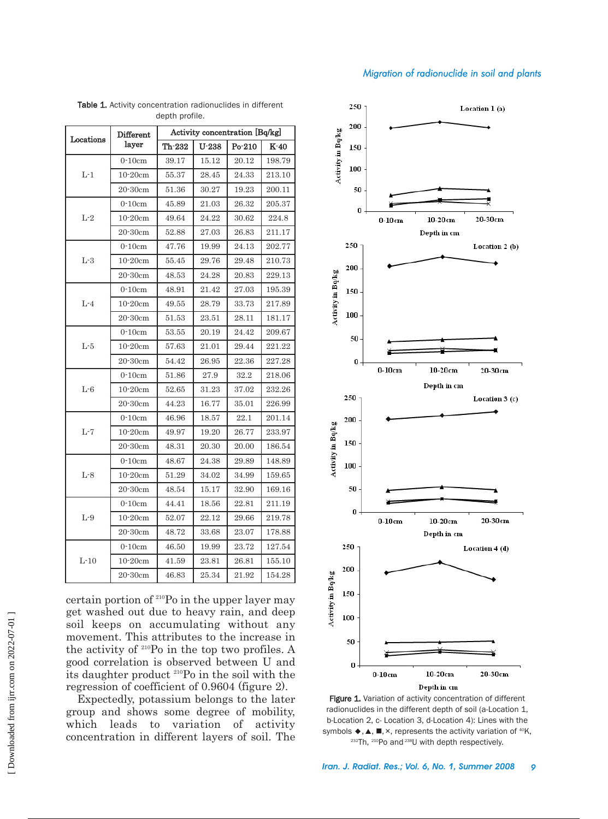# *Migration of radionuclide in soil and plants*

|              | Different    | Activity concentration [Bq/kg] |         |        |        |  |  |  |
|--------------|--------------|--------------------------------|---------|--------|--------|--|--|--|
| Locations    | layer        | Th-232                         | $U-238$ | Po-210 | K-40   |  |  |  |
| $L-1$        | $0-10cm$     | 39.17                          | 15.12   | 20.12  | 198.79 |  |  |  |
|              | $10-20cm$    | 55.37                          | 28.45   | 24.33  | 213.10 |  |  |  |
|              | $20-30cm$    | 51.36                          | 30.27   | 19.23  | 200.11 |  |  |  |
| $L-2$        | $0-10cm$     | 45.89                          | 21.03   | 26.32  | 205.37 |  |  |  |
|              | $10-20cm$    | 49.64                          | 24.22   | 30.62  | 224.8  |  |  |  |
|              | $20-30cm$    | 52.88                          | 27.03   | 26.83  | 211.17 |  |  |  |
| $L-3$        | $0-10cm$     | 47.76                          | 19.99   | 24.13  | 202.77 |  |  |  |
|              | $10-20$ cm   | 55.45                          | 29.76   | 29.48  | 210.73 |  |  |  |
|              | $20 - 30$ cm | 48.53                          | 24.28   | 20.83  | 229.13 |  |  |  |
| $L-4$        | $0-10cm$     | 48.91                          | 21.42   | 27.03  | 195.39 |  |  |  |
|              | 10-20cm      | 49.55                          | 28.79   | 33.73  | 217.89 |  |  |  |
|              | $20 - 30$ cm | 51.53                          | 23.51   | 28.11  | 181.17 |  |  |  |
| $\mbox{L-}5$ | $0-10cm$     | 53.55                          | 20.19   | 24.42  | 209.67 |  |  |  |
|              | $10-20cm$    | 57.63                          | 21.01   | 29.44  | 221.22 |  |  |  |
|              | $20 - 30$ cm | 54.42                          | 26.95   | 22.36  | 227.28 |  |  |  |
| $L-6$        | $0-10cm$     | 51.86                          | 27.9    | 32.2   | 218.06 |  |  |  |
|              | 10-20cm      | 52.65                          | 31.23   | 37.02  | 232.26 |  |  |  |
|              | 20-30cm      | 44.23                          | 16.77   | 35.01  | 226.99 |  |  |  |
| $L-7$        | $0-10cm$     | 46.96                          | 18.57   | 22.1   | 201.14 |  |  |  |
|              | 10-20cm      | 49.97                          | 19.20   | 26.77  | 233.97 |  |  |  |
|              | $20 - 30$ cm | 48.31                          | 20.30   | 20.00  | 186.54 |  |  |  |
| $\mbox{L-}8$ | $0-10cm$     | 48.67                          | 24.38   | 29.89  | 148.89 |  |  |  |
|              | $10-20cm$    | 51.29                          | 34.02   | 34.99  | 159.65 |  |  |  |
|              | $20 - 30$ cm | 48.54                          | 15.17   | 32.90  | 169.16 |  |  |  |
| $L-9$        | $0-10cm$     | 44.41                          | 18.56   | 22.81  | 211.19 |  |  |  |
|              | $10-20$ cm   | 52.07                          | 22.12   | 29.66  | 219.78 |  |  |  |
|              | $20 - 30$ cm | 48.72                          | 33.68   | 23.07  | 178.88 |  |  |  |
| $L-10$       | $0-10cm$     | 46.50                          | 19.99   | 23.72  | 127.54 |  |  |  |
|              | 10-20cm      | 41.59                          | 23.81   | 26.81  | 155.10 |  |  |  |
|              | $20 - 30$ cm | 46.83                          | 25.34   | 21.92  | 154.28 |  |  |  |

Table 1. Activity concentration radionuclides in different depth profile.

certain portion of 210Po in the upper layer may get washed out due to heavy rain, and deep soil keeps on accumulating without any movement. This attributes to the increase in the activity of 210Po in the top two profiles. A good correlation is observed between U and its daughter product 210Po in the soil with the regression of coefficient of 0.9604 (figure 2).

Expectedly, potassium belongs to the later group and shows some degree of mobility, which leads to variation of activity concentration in different layers of soil. The



Figure 1. Variation of activity concentration of different radionuclides in the different depth of soil (a-Location 1, b-Location 2, c- Location 3, d-Location 4): Lines with the symbols  $\blacklozenge$ ,  $\blacktriangle$ ,  $\blacksquare$ ,  $\times$ , represents the activity variation of  $^{40}$ K, 232Th, 210Po and 238U with depth respectively.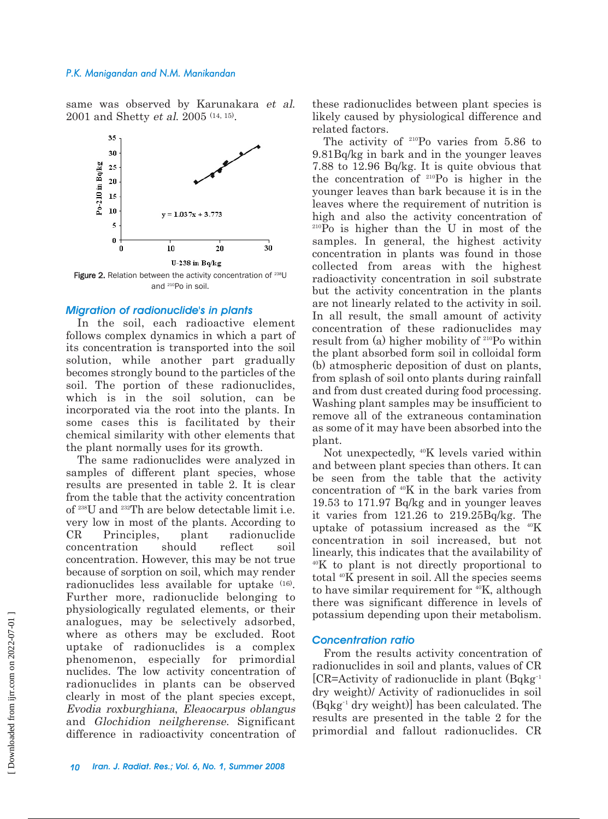## *P.K. Manigandan and N.M. Manikandan*

same was observed by Karunakara et al. 2001 and Shetty et al. 2005 (14, 15).



Figure 2. Relation between the activity concentration of <sup>238</sup>U and 210Po in soil.

## *Migration of radionuclide's in plants*

In the soil, each radioactive element follows complex dynamics in which a part of its concentration is transported into the soil solution, while another part gradually becomes strongly bound to the particles of the soil. The portion of these radionuclides, which is in the soil solution, can be incorporated via the root into the plants. In some cases this is facilitated by their chemical similarity with other elements that the plant normally uses for its growth.

The same radionuclides were analyzed in samples of different plant species, whose results are presented in table 2. It is clear from the table that the activity concentration of 238U and 232Th are below detectable limit i.e. very low in most of the plants. According to CR Principles, plant radionuclide concentration should reflect soil concentration. However, this may be not true because of sorption on soil, which may render radionuclides less available for uptake (16). Further more, radionuclide belonging to physiologically regulated elements, or their analogues, may be selectively adsorbed, where as others may be excluded. Root uptake of radionuclides is a complex phenomenon, especially for primordial nuclides. The low activity concentration of radionuclides in plants can be observed clearly in most of the plant species except, Evodia roxburghiana, Eleaocarpus oblangus and Glochidion neilgherense. Significant difference in radioactivity concentration of

these radionuclides between plant species is likely caused by physiological difference and related factors.

The activity of <sup>210</sup>Po varies from 5.86 to 9.81Bq/kg in bark and in the younger leaves 7.88 to 12.96 Bq/kg. It is quite obvious that the concentration of 210Po is higher in the younger leaves than bark because it is in the leaves where the requirement of nutrition is high and also the activity concentration of 210Po is higher than the U in most of the samples. In general, the highest activity concentration in plants was found in those collected from areas with the highest radioactivity concentration in soil substrate but the activity concentration in the plants are not linearly related to the activity in soil. In all result, the small amount of activity concentration of these radionuclides may result from (a) higher mobility of 210Po within the plant absorbed form soil in colloidal form (b) atmospheric deposition of dust on plants, from splash of soil onto plants during rainfall and from dust created during food processing. Washing plant samples may be insufficient to remove all of the extraneous contamination as some of it may have been absorbed into the plant.

Not unexpectedly, 40K levels varied within and between plant species than others. It can be seen from the table that the activity concentration of 40K in the bark varies from 19.53 to 171.97 Bq/kg and in younger leaves it varies from 121.26 to 219.25Bq/kg. The uptake of potassium increased as the  $40K$ concentration in soil increased, but not linearly, this indicates that the availability of 40K to plant is not directly proportional to total 40K present in soil. All the species seems to have similar requirement for <sup>40</sup>K, although there was significant difference in levels of potassium depending upon their metabolism.

# *Concentration ratio*

From the results activity concentration of radionuclides in soil and plants, values of CR [CR=Activity of radionuclide in plant (Bqkg-1 dry weight)/ Activity of radionuclides in soil (Bqkg-1 dry weight)] has been calculated. The results are presented in the table 2 for the primordial and fallout radionuclides. CR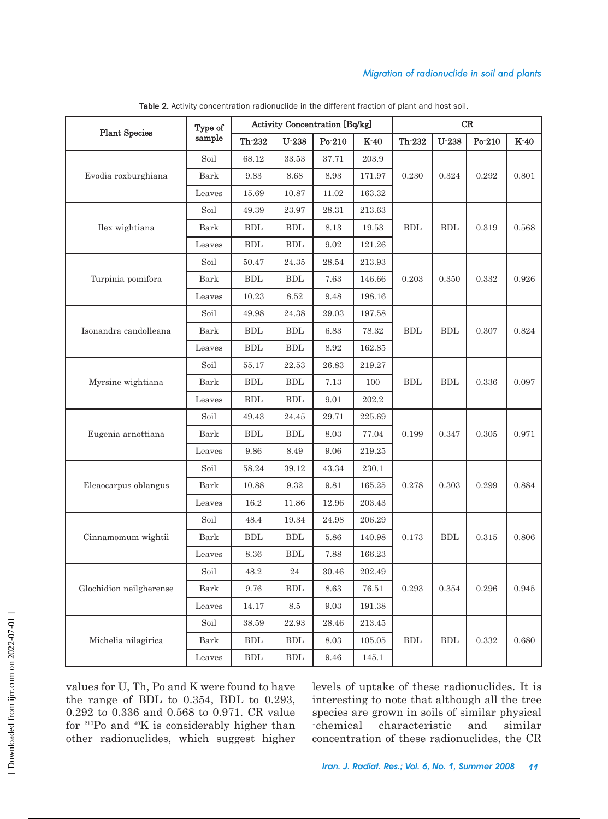# *Migration of radionuclide in soil and plants*

|                         | Type of<br>sample | <b>Activity Concentration [Bq/kg]</b> |                      |             | $\operatorname{CR}$ |                      |                      |             |             |
|-------------------------|-------------------|---------------------------------------|----------------------|-------------|---------------------|----------------------|----------------------|-------------|-------------|
| <b>Plant Species</b>    |                   | Th-232                                | $U-238$              | Po-210      | $K-40$              | Th-232               | $U-238$              | Po-210      | $K-40$      |
|                         | Soil              | 68.12                                 | 33.53                | 37.71       | 203.9               | 0.230                | 0.324                | 0.292       | 0.801       |
| Evodia roxburghiana     | Bark              | 9.83                                  | 8.68                 | 8.93        | 171.97              |                      |                      |             |             |
|                         | Leaves            | 15.69                                 | 10.87                | 11.02       | 163.32              |                      |                      |             |             |
|                         | Soil              | 49.39                                 | 23.97                | 28.31       | 213.63              | BDL                  | BDL                  | 0.319       | 0.568       |
| Ilex wightiana          | Bark              | <b>BDL</b>                            | BDL                  | 8.13        | 19.53               |                      |                      |             |             |
|                         | Leaves            | BDL                                   | BDL                  | 9.02        | 121.26              |                      |                      |             |             |
|                         | Soil              | 50.47                                 | 24.35                | 28.54       | 213.93              | 0.203                | 0.350                | 0.332       | 0.926       |
| Turpinia pomifora       | Bark              | <b>BDL</b>                            | BDL                  | 7.63        | 146.66              |                      |                      |             |             |
|                         | Leaves            | 10.23                                 | 8.52                 | 9.48        | 198.16              |                      |                      |             |             |
|                         | Soil              | 49.98                                 | 24.38                | 29.03       | 197.58              | <b>BDL</b>           | <b>BDL</b>           | 0.307       | 0.824       |
| Isonandra candolleana   | Bark              | <b>BDL</b>                            | <b>BDL</b>           | 6.83        | 78.32               |                      |                      |             |             |
|                         | Leaves            | <b>BDL</b>                            | <b>BDL</b>           | 8.92        | 162.85              |                      |                      |             |             |
|                         | Soil              | 55.17                                 | 22.53                | 26.83       | 219.27              | <b>BDL</b>           | BDL                  | 0.336       | 0.097       |
| Myrsine wightiana       | Bark              | <b>BDL</b>                            | BDL                  | 7.13        | 100                 |                      |                      |             |             |
|                         | Leaves            | BDL                                   | BDL                  | 9.01        | 202.2               |                      |                      |             |             |
|                         | Soil              | 49.43                                 | 24.45                | 29.71       | 225.69              | 0.199                | 0.347                | 0.305       | 0.971       |
| Eugenia arnottiana      | Bark              | ${\rm BDL}$                           | ${\rm BDL}$          | 8.03        | 77.04               |                      |                      |             |             |
|                         | Leaves            | 9.86                                  | 8.49                 | 9.06        | 219.25              |                      |                      |             |             |
|                         | Soil              | 58.24                                 | 39.12                | 43.34       | 230.1               | 0.278                | 0.303                | 0.299       | 0.884       |
| Eleaocarpus oblangus    | Bark              | 10.88                                 | 9.32                 | $\ \, 9.81$ | 165.25              |                      |                      |             |             |
|                         | Leaves            | 16.2                                  | 11.86                | 12.96       | 203.43              |                      |                      |             |             |
|                         | Soil              | 48.4                                  | 19.34                | 24.98       | 206.29              | 0.173                | <b>BDL</b>           | 0.315       | 0.806       |
| Cinnamomum wightii      | Bark              | <b>BDL</b>                            | BDL                  | 5.86        | 140.98              |                      |                      |             |             |
|                         | Leaves            | 8.36                                  | ${\rm BDL}$          | 7.88        | 166.23              |                      |                      |             |             |
|                         | Soil              | 48.2                                  | $\sqrt{24}$          | $30.46\,$   | 202.49              | 0.293                | 0.354                | 0.296       | $\,0.945\,$ |
| Glochidion neilgherense | Bark              | 9.76                                  | <b>BDL</b>           | 8.63        | 76.51               |                      |                      |             |             |
|                         | Leaves            | 14.17                                 | $\!\!\!\!\!8.5$      | 9.03        | 191.38              |                      |                      |             |             |
|                         | Soil              | 38.59                                 | 22.93                | 28.46       | $213.45\,$          | $\operatorname{BDL}$ |                      | $\,0.332\,$ | 0.680       |
| Michelia nilagirica     | Bark              | ${\rm BDL}$                           | ${\rm BDL}$          | 8.03        | $105.05\,$          |                      | $\operatorname{BDL}$ |             |             |
|                         | Leaves            | $\operatorname{BDL}$                  | $\operatorname{BDL}$ | $9.46\,$    | $145.1\,$           |                      |                      |             |             |

Table 2. Activity concentration radionuclide in the different fraction of plant and host soil.

values for U, Th, Po and K were found to have the range of BDL to 0.354, BDL to 0.293, 0.292 to 0.336 and 0.568 to 0.971. CR value for 210Po and 40K is considerably higher than other radionuclides, which suggest higher

levels of uptake of these radionuclides. It is interesting to note that although all the tree species are grown in soils of similar physical -chemical characteristic and similar concentration of these radionuclides, the CR